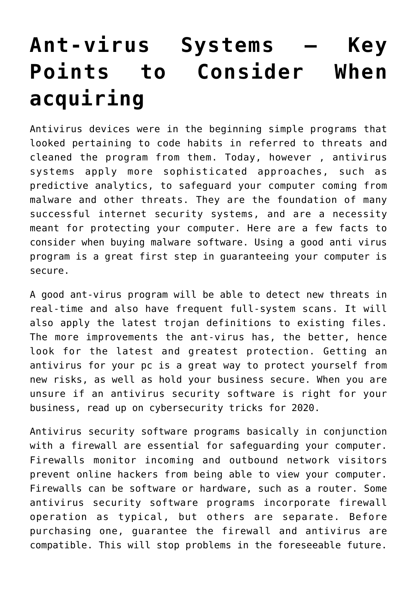## **[Ant-virus Systems — Key](https://cupidspulse.com/136621/ant-virus-systems-key-points-to-consider-when-acquiring/) [Points to Consider When](https://cupidspulse.com/136621/ant-virus-systems-key-points-to-consider-when-acquiring/) [acquiring](https://cupidspulse.com/136621/ant-virus-systems-key-points-to-consider-when-acquiring/)**

Antivirus devices were in the beginning simple programs that looked pertaining to code habits in referred to threats and cleaned the program from them. Today, however , antivirus systems apply more sophisticated approaches, such as predictive analytics, to safeguard your computer coming from malware and other threats. They are the foundation of many successful internet security systems, and are a necessity meant for protecting your computer. Here are a few facts to consider when buying malware software. Using a good anti virus program is a great first step in guaranteeing your computer is secure.

A good ant-virus program will be able to detect new threats in real-time and also have frequent full-system scans. It will also apply the latest trojan definitions to existing files. The more improvements the ant-virus has, the better, hence look for the latest and greatest protection. Getting an antivirus for your pc is a great way to protect yourself from new risks, as well as hold your business secure. When you are unsure if an antivirus security software is right for your business, read up on cybersecurity tricks for 2020.

Antivirus security software programs basically in conjunction with a firewall are essential for safeguarding your computer. Firewalls monitor incoming and outbound network visitors prevent online hackers from being able to view your computer. Firewalls can be software or hardware, such as a router. Some antivirus security software programs incorporate firewall operation as typical, but others are separate. Before purchasing one, guarantee the firewall and antivirus are compatible. This will stop problems in the foreseeable future.